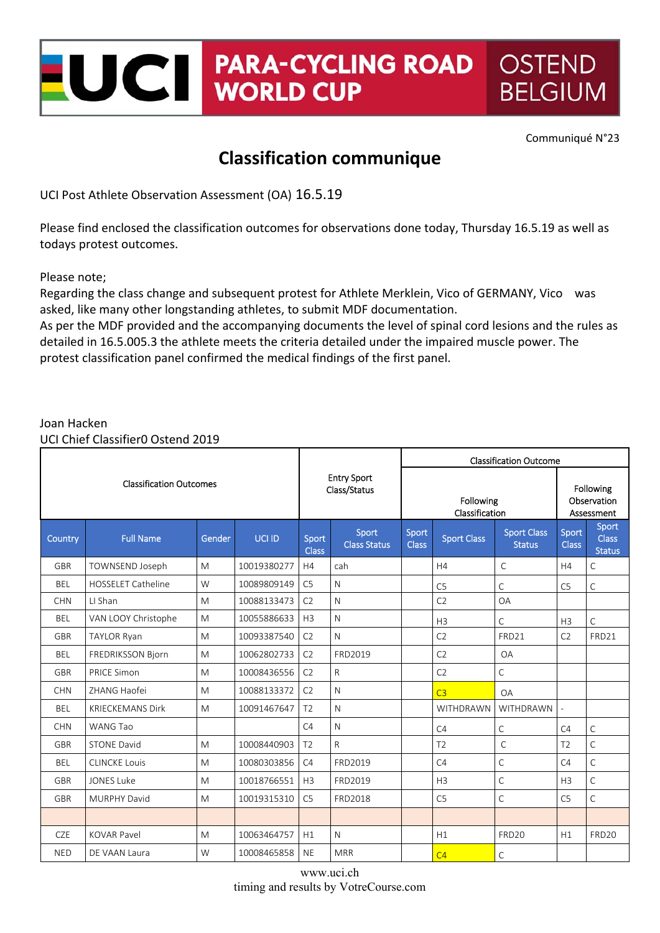## **PARA-CYCLING ROAD OSTEND** UCII **WORLD CUP BELGIUM**

Communiqué N°23

## **Classification communique**

UCI Post Athlete Observation Assessment (OA) 16.5.19

Please find enclosed the classification outcomes for observations done today, Thursday 16.5.19 as well as todays protest outcomes.

Please note;

Regarding the class change and subsequent protest for Athlete Merklein, Vico of GERMANY, Vico was asked, like many other longstanding athletes, to submit MDF documentation.

As per the MDF provided and the accompanying documents the level of spinal cord lesions and the rules as detailed in 16.5.005.3 the athlete meets the criteria detailed under the impaired muscle power. The protest classification panel confirmed the medical findings of the first panel.

## Joan Hacken

UCI Chief Classifier0 Ostend 2019

|                                |                           |        |               |                                    |                              | <b>Classification Outcome</b> |                    |                                     |                                        |                                        |  |
|--------------------------------|---------------------------|--------|---------------|------------------------------------|------------------------------|-------------------------------|--------------------|-------------------------------------|----------------------------------------|----------------------------------------|--|
| <b>Classification Outcomes</b> |                           |        |               | <b>Entry Sport</b><br>Class/Status |                              | Following<br>Classification   |                    |                                     | Following<br>Observation<br>Assessment |                                        |  |
| Country                        | <b>Full Name</b>          | Gender | <b>UCI ID</b> | Sport<br><b>Class</b>              | Sport<br><b>Class Status</b> | Sport<br><b>Class</b>         | <b>Sport Class</b> | <b>Sport Class</b><br><b>Status</b> | Sport<br><b>Class</b>                  | Sport<br><b>Class</b><br><b>Status</b> |  |
| <b>GBR</b>                     | TOWNSEND Joseph           | M      | 10019380277   | H4                                 | cah                          |                               | H4                 | $\mathsf{C}$                        | H4                                     | C                                      |  |
| <b>BEL</b>                     | <b>HOSSELET Catheline</b> | W      | 10089809149   | C <sub>5</sub>                     | N                            |                               | C <sub>5</sub>     | $\mathsf{C}$                        | C <sub>5</sub>                         | C                                      |  |
| <b>CHN</b>                     | LI Shan                   | M      | 10088133473   | C <sub>2</sub>                     | $\mathsf{N}$                 |                               | C <sub>2</sub>     | <b>OA</b>                           |                                        |                                        |  |
| <b>BEL</b>                     | VAN LOOY Christophe       | M      | 10055886633   | H <sub>3</sub>                     | N                            |                               | H <sub>3</sub>     | C                                   | H <sub>3</sub>                         | C                                      |  |
| <b>GBR</b>                     | <b>TAYLOR Ryan</b>        | M      | 10093387540   | C <sub>2</sub>                     | $\mathsf{N}$                 |                               | C <sub>2</sub>     | FRD21                               | C <sub>2</sub>                         | FRD21                                  |  |
| <b>BEL</b>                     | <b>FREDRIKSSON Bjorn</b>  | M      | 10062802733   | C <sub>2</sub>                     | FRD2019                      |                               | C <sub>2</sub>     | <b>OA</b>                           |                                        |                                        |  |
| <b>GBR</b>                     | <b>PRICE Simon</b>        | M      | 10008436556   | C <sub>2</sub>                     | $\mathsf{R}$                 |                               | C <sub>2</sub>     | $\mathsf{C}$                        |                                        |                                        |  |
| <b>CHN</b>                     | ZHANG Haofei              | M      | 10088133372   | C <sub>2</sub>                     | N                            |                               | C <sub>3</sub>     | OA                                  |                                        |                                        |  |
| <b>BEL</b>                     | <b>KRIECKEMANS Dirk</b>   | M      | 10091467647   | T <sub>2</sub>                     | N                            |                               | WITHDRAWN          | <b>WITHDRAWN</b>                    | $\overline{\phantom{a}}$               |                                        |  |
| <b>CHN</b>                     | <b>WANG Tao</b>           |        |               | C4                                 | N                            |                               | C4                 | C                                   | C4                                     | C                                      |  |
| <b>GBR</b>                     | <b>STONE David</b>        | M      | 10008440903   | T <sub>2</sub>                     | $\mathsf{R}$                 |                               | T <sub>2</sub>     | $\mathsf{C}$                        | T <sub>2</sub>                         | $\overline{C}$                         |  |
| <b>BEL</b>                     | <b>CLINCKE Louis</b>      | M      | 10080303856   | C4                                 | FRD2019                      |                               | C4                 | $\mathsf{C}$                        | C4                                     | $\mathsf{C}$                           |  |
| <b>GBR</b>                     | <b>JONES Luke</b>         | M      | 10018766551   | H3                                 | FRD2019                      |                               | H <sub>3</sub>     | $\mathsf{C}$                        | H <sub>3</sub>                         | $\overline{C}$                         |  |
| GBR                            | <b>MURPHY David</b>       | M      | 10019315310   | C <sub>5</sub>                     | FRD2018                      |                               | C <sub>5</sub>     | $\mathsf C$                         | C <sub>5</sub>                         | $\mathsf{C}$                           |  |
|                                |                           |        |               |                                    |                              |                               |                    |                                     |                                        |                                        |  |
| <b>CZE</b>                     | <b>KOVAR Pavel</b>        | M      | 10063464757   | H1                                 | $\mathsf{N}$                 |                               | H1                 | FRD20                               | H1                                     | FRD <sub>20</sub>                      |  |
| <b>NED</b>                     | DE VAAN Laura             | W      | 10008465858   | <b>NE</b>                          | <b>MRR</b>                   |                               | C <sub>4</sub>     | C                                   |                                        |                                        |  |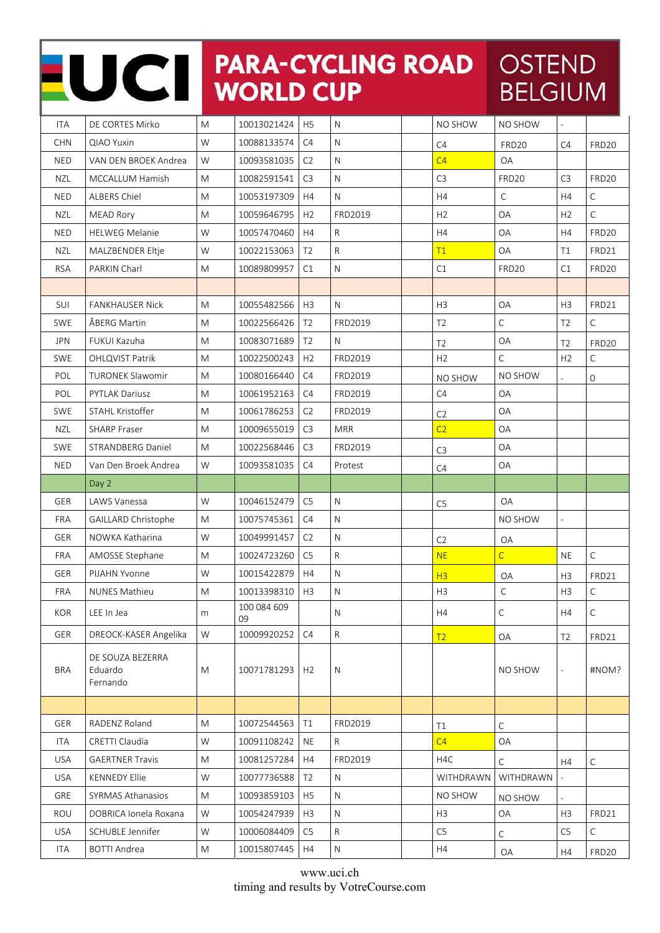|            | UCII                                    |   | <b>WORLD CUP</b>  |                | <b>PARA-CYCLING ROAD</b> |                | <b>OSTEND</b><br><b>BELGIUM</b> |                          |                   |
|------------|-----------------------------------------|---|-------------------|----------------|--------------------------|----------------|---------------------------------|--------------------------|-------------------|
| <b>ITA</b> | DE CORTES Mirko                         | M | 10013021424       | H <sub>5</sub> | $\mathsf{N}$             | NO SHOW        | NO SHOW                         |                          |                   |
| <b>CHN</b> | <b>QIAO Yuxin</b>                       | W | 10088133574       | C4             | $\mathsf{N}$             | C <sub>4</sub> | FRD <sub>20</sub>               | C <sub>4</sub>           | FRD20             |
| <b>NED</b> | VAN DEN BROEK Andrea                    | W | 10093581035       | C <sub>2</sub> | $\mathsf{N}$             | C <sub>4</sub> | <b>OA</b>                       |                          |                   |
| <b>NZL</b> | <b>MCCALLUM Hamish</b>                  | M | 10082591541       | C <sub>3</sub> | $\mathsf{N}$             | C <sub>3</sub> | <b>FRD20</b>                    | C <sub>3</sub>           | FRD <sub>20</sub> |
| <b>NED</b> | <b>ALBERS Chiel</b>                     | M | 10053197309       | H4             | $\mathsf{N}$             | H4             | $\mathsf{C}$                    | H <sub>4</sub>           | $\mathsf{C}$      |
| <b>NZL</b> | <b>MEAD Rory</b>                        | M | 10059646795       | H <sub>2</sub> | FRD2019                  | H <sub>2</sub> | <b>OA</b>                       | H <sub>2</sub>           | $\mathsf C$       |
| <b>NED</b> | <b>HELWEG Melanie</b>                   | W | 10057470460       | H4             | R.                       | H4             | <b>OA</b>                       | H <sub>4</sub>           | FRD <sub>20</sub> |
| <b>NZL</b> | MALZBENDER Eltje                        | W | 10022153063       | T <sub>2</sub> | $\mathsf{R}$             | T1             | <b>OA</b>                       | T1                       | FRD21             |
| <b>RSA</b> | <b>PARKIN Charl</b>                     | M | 10089809957       | C1             | N                        | C1             | FRD <sub>20</sub>               | C1                       | FRD20             |
|            |                                         |   |                   |                |                          |                |                                 |                          |                   |
| <b>SUI</b> | <b>FANKHAUSER Nick</b>                  | M | 10055482566       | H <sub>3</sub> | N                        | H <sub>3</sub> | <b>OA</b>                       | H <sub>3</sub>           | FRD21             |
| SWE        | ÅBERG Martin                            | M | 10022566426       | T <sub>2</sub> | FRD2019                  | T <sub>2</sub> | $\mathsf C$                     | T <sub>2</sub>           | $\mathsf{C}$      |
| <b>JPN</b> | FUKUI Kazuha                            | M | 10083071689       | T <sub>2</sub> | N                        | T2             | OA                              | T <sub>2</sub>           | FRD <sub>20</sub> |
| <b>SWE</b> | <b>OHLQVIST Patrik</b>                  | M | 10022500243       | H <sub>2</sub> | FRD2019                  | H <sub>2</sub> | $\mathsf C$                     | H <sub>2</sub>           | $\mathsf C$       |
| POL        | <b>TURONEK Slawomir</b>                 | M | 10080166440       | C4             | FRD2019                  | NO SHOW        | NO SHOW                         |                          | $\mathbf 0$       |
| POL        | <b>PYTLAK Dariusz</b>                   | M | 10061952163       | C4             | FRD2019                  | C4             | <b>OA</b>                       |                          |                   |
| <b>SWE</b> | <b>STAHL Kristoffer</b>                 | M | 10061786253       | C <sub>2</sub> | FRD2019                  | C <sub>2</sub> | <b>OA</b>                       |                          |                   |
| <b>NZL</b> | <b>SHARP Fraser</b>                     | M | 10009655019       | C <sub>3</sub> | <b>MRR</b>               | C <sub>2</sub> | <b>OA</b>                       |                          |                   |
| <b>SWE</b> | STRANDBERG Daniel                       | M | 10022568446       | C <sub>3</sub> | FRD2019                  | C <sub>3</sub> | <b>OA</b>                       |                          |                   |
| <b>NED</b> | Van Den Broek Andrea                    | W | 10093581035       | C4             | Protest                  | C4             | OA                              |                          |                   |
|            | Day 2                                   |   |                   |                |                          |                |                                 |                          |                   |
| <b>GER</b> | <b>LAWS Vanessa</b>                     | W | 10046152479       | C <sub>5</sub> | N                        | C <sub>5</sub> | <b>OA</b>                       |                          |                   |
| <b>FRA</b> | GAILLARD Christophe                     | M | 10075745361       | C4             | N                        |                | NO SHOW                         | $\overline{\phantom{a}}$ |                   |
| <b>GER</b> | NOWKA Katharina                         | W | 10049991457       | C <sub>2</sub> | $\mathsf{N}$             | C <sub>2</sub> | OA                              |                          |                   |
| <b>FRA</b> | AMOSSE Stephane                         | M | 10024723260       | C <sub>5</sub> | R                        | <b>NE</b>      | $\mathsf{C}$                    | <b>NE</b>                | $\mathsf C$       |
| GER        | PIJAHN Yvonne                           | W | 10015422879       | H4             | ${\sf N}$                | H <sub>3</sub> | OA                              | H <sub>3</sub>           | FRD21             |
| FRA        | <b>NUNES Mathieu</b>                    | M | 10013398310       | H3             | ${\sf N}$                | H <sub>3</sub> | $\mathsf C$                     | H <sub>3</sub>           | $\mathsf C$       |
| KOR        | LEE In Jea                              | m | 100 084 609<br>09 |                | N                        | H4             | C                               | H4                       | C                 |
| GER        | DREOCK-KASER Angelika                   | W | 10009920252       | C <sub>4</sub> | $\mathsf{R}$             | T2             | OA                              | T <sub>2</sub>           | FRD21             |
| <b>BRA</b> | DE SOUZA BEZERRA<br>Eduardo<br>Fernando | M | 10071781293       | H2             | $\mathsf{N}$             |                | NO SHOW                         | $\overline{\phantom{m}}$ | #NOM?             |
|            |                                         |   |                   |                |                          |                |                                 |                          |                   |
| GER        | RADENZ Roland                           | M | 10072544563       | T1             | FRD2019                  | T1             | $\mathsf C$                     |                          |                   |
| ITA        | CRETTI Claudia                          | W | 10091108242       | <b>NE</b>      | R                        | C <sub>4</sub> | OA                              |                          |                   |
| <b>USA</b> | <b>GAERTNER Travis</b>                  | M | 10081257284       | H4             | FRD2019                  | H4C            | $\mathsf C$                     | H4                       | $\mathsf C$       |
| <b>USA</b> | <b>KENNEDY Ellie</b>                    | W | 10077736588       | T <sub>2</sub> | $\mathsf{N}$             | WITHDRAWN      | WITHDRAWN                       |                          |                   |
| GRE        | <b>SYRMAS Athanasios</b>                | M | 10093859103       | H <sub>5</sub> | $\mathsf{N}$             | NO SHOW        | NO SHOW                         |                          |                   |
| ROU        | DOBRICA Ionela Roxana                   | W | 10054247939       | H <sub>3</sub> | ${\sf N}$                | H <sub>3</sub> | OA                              | H <sub>3</sub>           | FRD21             |
| <b>USA</b> | SCHUBLE Jennifer                        | W | 10006084409       | C5             | $\mathsf{R}$             | C5             | $\mathsf C$                     | C <sub>5</sub>           | $\mathsf C$       |
| ITA        | <b>BOTTI Andrea</b>                     | M | 10015807445       | H4             | ${\sf N}$                | H4             | OA                              | H4                       | FRD20             |

I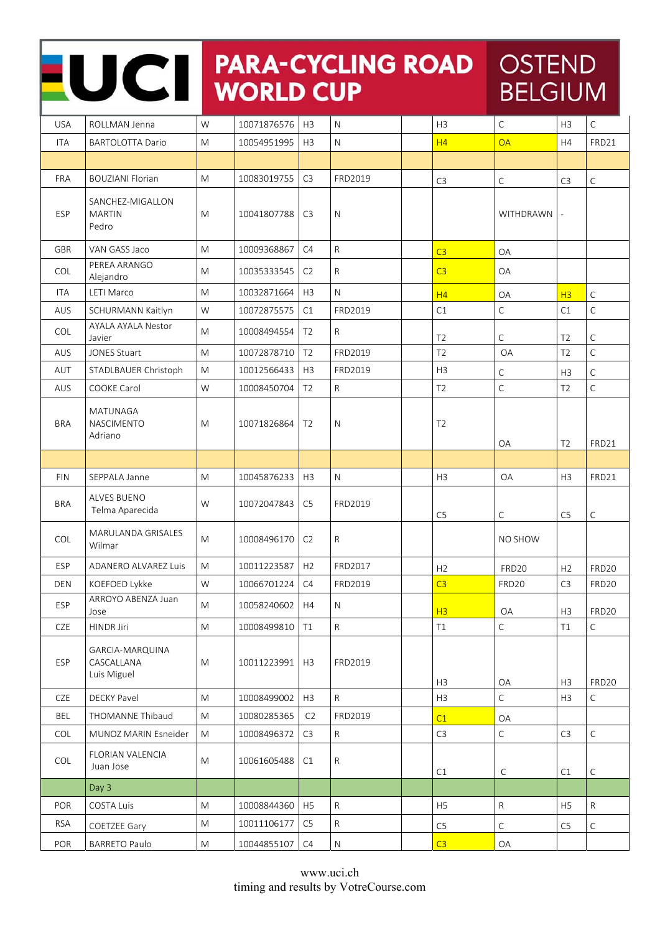|            | <b>PARA-CYCLING ROAD</b><br>UCII<br><b>WORLD CUP</b> |           |             |                |              |                | <b>OSTEND</b><br><b>BELGIUM</b> |                                  |                      |  |
|------------|------------------------------------------------------|-----------|-------------|----------------|--------------|----------------|---------------------------------|----------------------------------|----------------------|--|
| <b>USA</b> | ROLLMAN Jenna                                        | W         | 10071876576 | H <sub>3</sub> | $\mathsf{N}$ | H <sub>3</sub> | $\mathsf{C}$                    | H <sub>3</sub>                   | $\mathsf C$          |  |
| <b>ITA</b> | <b>BARTOLOTTA Dario</b>                              | M         | 10054951995 | H <sub>3</sub> | $\mathsf{N}$ | H4             | <b>OA</b>                       | H4                               | FRD21                |  |
|            |                                                      |           |             |                |              |                |                                 |                                  |                      |  |
| <b>FRA</b> | <b>BOUZIANI Florian</b>                              | M         | 10083019755 | C <sub>3</sub> | FRD2019      | C <sub>3</sub> | С                               | C <sub>3</sub>                   | C                    |  |
| ESP        | SANCHEZ-MIGALLON<br><b>MARTIN</b><br>Pedro           | M         | 10041807788 | C <sub>3</sub> | $\mathsf{N}$ |                | WITHDRAWN                       |                                  |                      |  |
| <b>GBR</b> | VAN GASS Jaco                                        | M         | 10009368867 | C4             | $\mathsf{R}$ | C <sub>3</sub> | <b>OA</b>                       |                                  |                      |  |
| <b>COL</b> | PEREA ARANGO<br>Alejandro                            | M         | 10035333545 | C <sub>2</sub> | $\mathsf{R}$ | C <sub>3</sub> | OA                              |                                  |                      |  |
| <b>ITA</b> | LETI Marco                                           | M         | 10032871664 | H <sub>3</sub> | N            | H <sub>4</sub> | OA                              | H <sub>3</sub>                   | $\mathsf C$          |  |
| AUS        | SCHURMANN Kaitlyn                                    | W         | 10072875575 | C1             | FRD2019      | C1             | $\mathsf{C}$                    | C1                               | $\mathsf{C}$         |  |
| <b>COL</b> | <b>AYALA AYALA Nestor</b><br>Javier                  | M         | 10008494554 | T <sub>2</sub> | $\mathsf{R}$ | T <sub>2</sub> | C                               | T <sub>2</sub>                   | $\mathsf C$          |  |
| AUS        | <b>JONES Stuart</b>                                  | M         | 10072878710 | T <sub>2</sub> | FRD2019      | T2             | <b>OA</b>                       | T <sub>2</sub>                   | $\overline{C}$       |  |
| AUT        | STADLBAUER Christoph                                 | M         | 10012566433 | H <sub>3</sub> | FRD2019      | H <sub>3</sub> | С                               | H <sub>3</sub>                   | $\mathsf C$          |  |
| AUS        | <b>COOKE Carol</b>                                   | W         | 10008450704 | T <sub>2</sub> | $\mathsf{R}$ | T <sub>2</sub> | $\mathsf{C}$                    | T <sub>2</sub>                   | $\mathsf C$          |  |
| <b>BRA</b> | MATUNAGA<br>NASCIMENTO<br>Adriano                    | M         | 10071826864 | T <sub>2</sub> | N            | T <sub>2</sub> | OA                              | T <sub>2</sub>                   | FRD21                |  |
|            |                                                      |           |             |                |              |                |                                 |                                  |                      |  |
| <b>FIN</b> | SEPPALA Janne                                        | M         | 10045876233 | H <sub>3</sub> | $\mathsf{N}$ | H <sub>3</sub> | <b>OA</b>                       | H <sub>3</sub>                   | FRD21                |  |
| <b>BRA</b> | <b>ALVES BUENO</b><br>Telma Aparecida                | W         | 10072047843 | C <sub>5</sub> | FRD2019      | C <sub>5</sub> | C                               | C <sub>5</sub>                   | C                    |  |
| <b>COL</b> | MARULANDA GRISALES<br>Wilmar                         | M         | 10008496170 | C <sub>2</sub> | R            |                | NO SHOW                         |                                  |                      |  |
| <b>ESP</b> | <b>ADANERO ALVAREZ Luis</b>                          | M         | 10011223587 | H2             | FRD2017      | H2             | FRD <sub>20</sub>               | H <sub>2</sub>                   | FRD <sub>20</sub>    |  |
| <b>DEN</b> | KOEFOED Lykke                                        | W         | 10066701224 | C4             | FRD2019      | C3             | FRD <sub>20</sub>               | C <sub>3</sub>                   | <b>FRD20</b>         |  |
| ESP        | ARROYO ABENZA Juan<br>Jose                           | M         | 10058240602 | H4             | N            | H3             | OA                              | H3                               | <b>FRD20</b>         |  |
| CZE        | HINDR Jiri                                           | M         | 10008499810 | T1             | $\mathsf{R}$ | T1             | $\mathsf C$                     | T1                               | $\mathsf C$          |  |
| <b>ESP</b> | GARCIA-MARQUINA                                      |           |             |                |              |                |                                 |                                  |                      |  |
|            | CASCALLANA<br>Luis Miguel                            | M         | 10011223991 | H <sub>3</sub> | FRD2019      |                |                                 |                                  |                      |  |
| CZE        | <b>DECKY Pavel</b>                                   | M         | 10008499002 | H3             | $\mathsf{R}$ | H3<br>H3       | OA<br>$\mathsf C$               | H <sub>3</sub><br>H <sub>3</sub> | FRD20<br>$\mathsf C$ |  |
| BEL        | THOMANNE Thibaud                                     | M         | 10080285365 | C <sub>2</sub> | FRD2019      |                |                                 |                                  |                      |  |
| COL        | MUNOZ MARIN Esneider                                 | ${\sf M}$ | 10008496372 | C <sub>3</sub> | $\mathsf{R}$ | C1<br>C3       | OA<br>$\mathsf C$               | C <sub>3</sub>                   | $\mathsf C$          |  |
| COL        | FLORIAN VALENCIA<br>Juan Jose                        | M         | 10061605488 | C1             | R            | C1             | $\mathsf C$                     | C1                               | $\mathsf C$          |  |
|            | Day 3                                                |           |             |                |              |                |                                 |                                  |                      |  |
| POR        | COSTA Luis                                           | M         | 10008844360 | H5             | $\mathsf{R}$ | H <sub>5</sub> | R                               | H <sub>5</sub>                   | R                    |  |
| <b>RSA</b> | <b>COETZEE Gary</b>                                  | M         | 10011106177 | C <sub>5</sub> | ${\sf R}$    | C <sub>5</sub> | С                               | C <sub>5</sub>                   | С                    |  |

Г